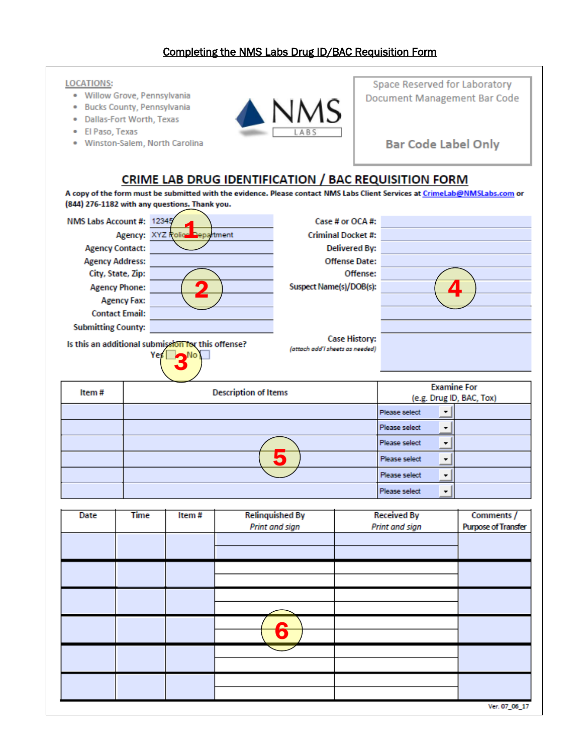## **LOCATIONS:**

- · Willow Grove, Pennsylvania
- · Bucks County, Pennsylvania
- · Dallas-Fort Worth, Texas
- · El Paso, Texas
- · Winston-Salem, North Carolina



Space Reserved for Laboratory Document Management Bar Code

**Bar Code Label Only** 

## CRIME LAB DRUG IDENTIFICATION / BAC REQUISITION FORM

A copy of the form must be submitted with the evidence. Please contact NMS Labs Client Services at CrimeLab@NMSLabs.com or (844) 276-1182 with any questions. Thank you.

| NMS Labs Account #:                                       | 12345                         | Case # or OCA #:                                        |  |
|-----------------------------------------------------------|-------------------------------|---------------------------------------------------------|--|
|                                                           | Agency: XYZ Rolice Department | <b>Criminal Docket #:</b>                               |  |
| <b>Agency Contact:</b>                                    |                               | <b>Delivered By:</b>                                    |  |
| <b>Agency Address:</b>                                    |                               | <b>Offense Date:</b>                                    |  |
| City, State, Zip:                                         |                               | Offense:                                                |  |
| <b>Agency Phone:</b>                                      |                               | Suspect Name(s)/DOB(s):                                 |  |
| <b>Agency Fax:</b>                                        |                               |                                                         |  |
| <b>Contact Email:</b>                                     |                               |                                                         |  |
| <b>Submitting County:</b>                                 |                               |                                                         |  |
| Is this an additional submission for this offense?<br>Yes |                               | <b>Case History:</b><br>(attach add'I sheets as needed) |  |

| Item# | <b>Description of Items</b> | <b>Examine For</b><br>(e.g. Drug ID, BAC, Tox) |  |
|-------|-----------------------------|------------------------------------------------|--|
|       |                             | Please select                                  |  |
|       |                             | Please select                                  |  |
|       |                             | Please select<br>$\overline{\phantom{a}}$      |  |
|       |                             | Please select                                  |  |
|       |                             | Please select                                  |  |
|       |                             | Please select<br>$\blacksquare$                |  |

| Date | <b>Time</b> | Item# | <b>Relinquished By</b><br>Print and sign | <b>Received By</b><br>Print and sign | Comments /<br><b>Purpose of Transfer</b> |
|------|-------------|-------|------------------------------------------|--------------------------------------|------------------------------------------|
|      |             |       |                                          |                                      |                                          |
|      |             |       |                                          |                                      |                                          |
|      |             |       |                                          |                                      |                                          |
|      |             |       | 6                                        |                                      |                                          |
|      |             |       |                                          |                                      |                                          |
|      |             |       |                                          |                                      |                                          |
|      |             |       |                                          |                                      | Ver. 07_06_17                            |